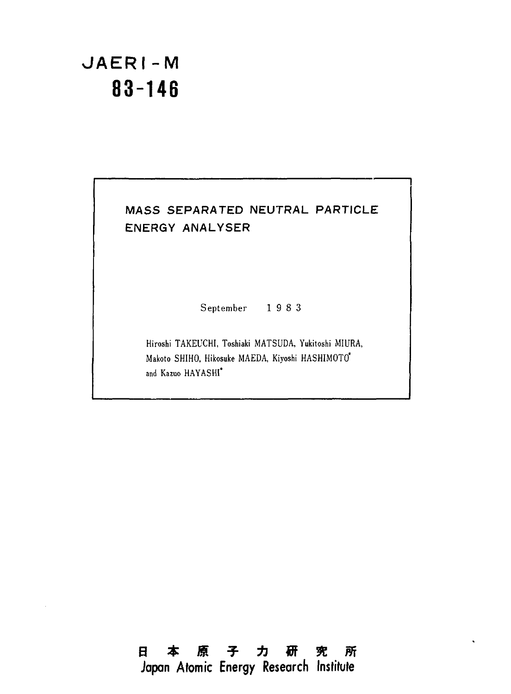# **JAERI-M**  JAERI-M **83-146**  83-146

## MASS SEPARATED NEUTRAL PARTICLE MASS SEPARATED NEUTRAL PARTICLE ENERGY ANALYSER ENERGY ANAL YSER

ー一一一「

September 1 9 8 3 September 1 9 8 3

Hiroshi TAKEUCHI, Toshiaki MATSUDA, Yukitoshi MIURA, Hiroshi TAKEVCHI, Toshiaki MATSUDA, Yukitoshi MIURA, Makoto SHIHO, Hikosuke MAEDA, Kiyoshi HASHIMOTO\* Makoto SHIHO, Hikosuke MAEDA, Kiyoshi HASHIMOTO' and Kazuo HAYASHI\* and Kazuo HA YASHI'

日本原子力研究所 Japan Atomic Energy Research Institute 日本原子力研究所 Japan Atomic Energy Research Institute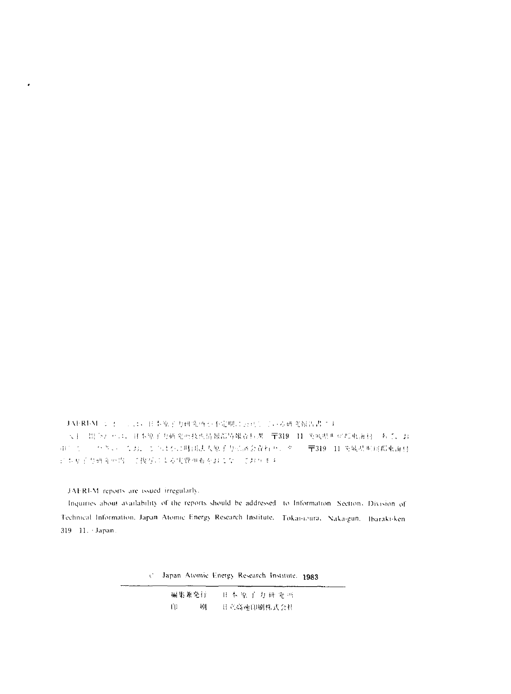```
JAFRI-M ショー、、は、日本原子力研究所が不定期に公共している研究報告書です
 大手。開手おどこ、日本原子力研究所技術情報部局報査科課 〒319 11 英風県西岸郡東海村 あて、お
項1. セージベベル (4.3)、セルは302明初法人原子力が済会資料センター(〒319-11 英城県東河都東海村
にもり子な研究所内にて復写による実費価布をおこなここおります
```
JAFRI-M reports are issued irregularly.

 $\cdot$ 

Inquiries about availability of the reports should be addressed to Information. Section, Division of Technical Information, Japan Atomic Energy Research Institute, Tokai-ioura, Naka-gun, Ibaraki-ken 319 11. - Japan.

C. Japan Atomic Energy Research Institute, 1983

| 編集兼発行 |   | 日本原子力研究所    |
|-------|---|-------------|
| - 60  | 刷 | H 立高速印刷株式会社 |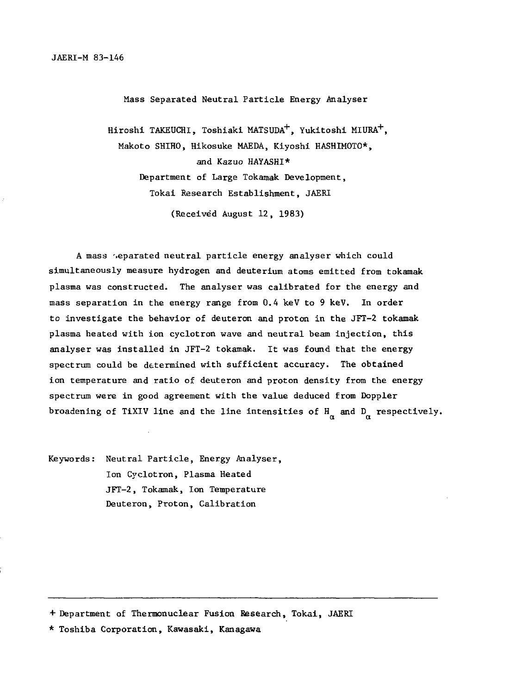Mass Separated Neutral Particle Energy Analyser Mass Separated Neutra1 Partic1e Energy Ana1yser

Hiroshi TAKEUCHI, Toshiaki MATSUDA $^+$ , Yukitoshi MIURA $^+$ , Makoto SHIHO, Hikosuke MAEDA, Kiyoshi HASHIMOTO\*, Makoto SHIHO, Hikosuke MAEDA, Kiyoshi HASHIMOTO\*, and Kazuo HAYASHI\* dKazuo HAYASHI\* Department of Large Tokamak Development, Department of Large Tokamak Development, Tokai Research Establishment, JAERI Tokai Research Estab1ishment, JAERI (Received August 12, 1983) (Received August 12, 1983)

A mass separated neutral particle energy analyser which could simultaneously measure hydrogen and deuterium atoms emitted from tokamak plasma was constructed. The analyser was calibrated for the energy and p1asma was constructed. The ana1yser was ca1ibrated for the energy and mass separation in the energy range from 0.4 keV to 9 keV. In order mass separation in the energy range from 0.4 keV to 9 keV. In order to investigate the behavior of deuteron and proton in the JFT-2 tokamak to investigate the behavior of deuteron and proton in the JFT-2 tokam plasma heated with ion cyclotron wave and neutral beam injection, this analyser was installed in JFT-2 tokamak. It was found that the energy ana1yser was insta11ed in JFT-2 tokamak. It was found that the energy spectrum could be determined with sufficient accuracy. The obtained ion temperature and ratio of deuteron and proton density from the energy spectrum were in good agreement with the value deduced from Doppler spectrum were in good agreement with the va1ue deduced from Dopp1er broadening of TiXIV line and the line intensities of  $H_\alpha$  and  $D_\alpha$  respectively.

Keywords: Neutral Particle, Energy Analyser, Ion Cyclotron, Plasma Heated Ion Cyc1otron, P1asma Heated JFT-2, Tokamak, Ion Temperature JFT-2, Tokamak, Ion Temperature Deuteron, Proton, Calibration Deuteron, Pτoton, Ca1ibration

•+ Department of Thermonuclear Fusion Research, Tokai, JAERI <sup>+</sup>Department of Thermonuclear Fusion Research, Tokai, JAER

\* Toshiba Corporation, Kawasaki, Kanagawa \* Toshiba Corporation, Kawasaki, K agawa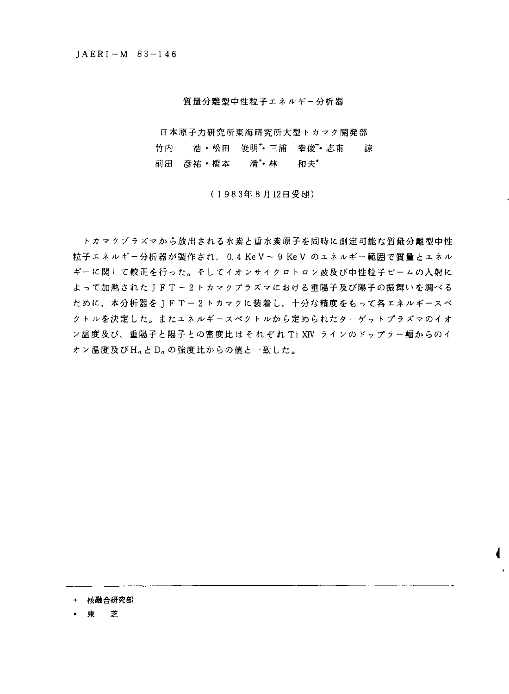#### 質量分離型中性粒子エネノレギ一分析器

**諒** 日本原子力研究所東海研究所大型トカマク開発部 竹内 浩・松田 俊明+三浦 幸俊+志甫 前田 彦祐・橋本 清\*• 林 和夫\*

( 1 983 8 12日受理)

粒子エネルギー分析器が製作され, 0.4 Ke V ~ 9 Ke V のエネルギー範囲で質量とエネル よって加熱されたJFT - 2トカマクプラズマにおける重陽子及び陽子の振舞いを調べる ために,本分析器をJFT-2トカマクに装着し,十分な精度をもって各エネルギースペ ン温度及び,重陽子と陽子との密度比は それぞれ Ti XIV ラインのドップラー幅からのイ ォン温度及びH<sub>a</sub>とD<sub>a</sub>の強度比からの値と一致した。 トカマクプラズマから放出される水素と重水素原子を同時に測定可能な質量分離型中性 ギーに関して較正を行った。そしてイオンサイクロ卜ロン波及び中性粒子ビームの入射に クトルを決定した。またエネルギースペクトルから定められたターゲットプラズマのイオ

Ł

- + 核融合研究部
- ・東芝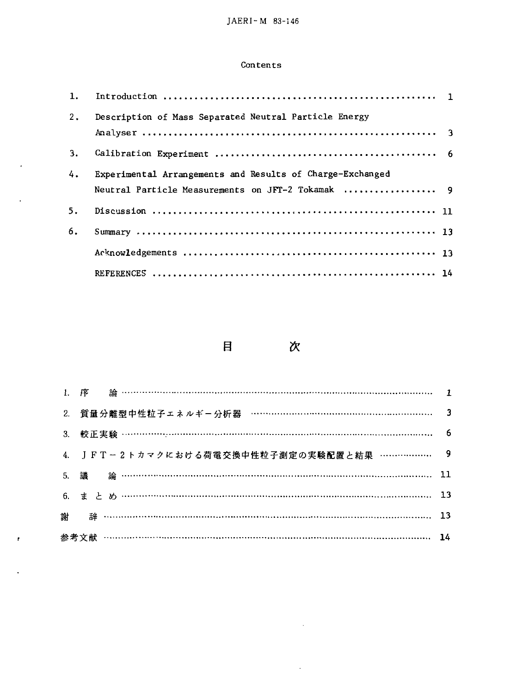### Contents

| 1. |                                                           |  |
|----|-----------------------------------------------------------|--|
| 2. | Description of Mass Separated Neutral Particle Energy     |  |
|    |                                                           |  |
| 3. |                                                           |  |
| 4. | Experimental Arrangements and Results of Charge-Exchanged |  |
|    | Neutral Particle Measurements on JFT-2 Tokamak  9         |  |
| 5. |                                                           |  |
| 6. |                                                           |  |
|    |                                                           |  |
|    |                                                           |  |

 $\hat{\mathbf{r}}$ 

 $\mathcal{L}^{\pm}$ 

 $\pmb{r}$ 

 $\bar{\mathcal{L}}$ 

目 次

| 2. 質量分離型中性粒子エネルギー分析器 ………………………………………………………… 3 |  |
|-----------------------------------------------|--|
|                                               |  |
| 4. JFT-2トカマクにおける荷電交換中性粒子測定の実験配置と結果 ………………… 9  |  |
|                                               |  |
|                                               |  |
|                                               |  |
|                                               |  |

 $\sim 10^{-1}$ 

 $\mathcal{A}$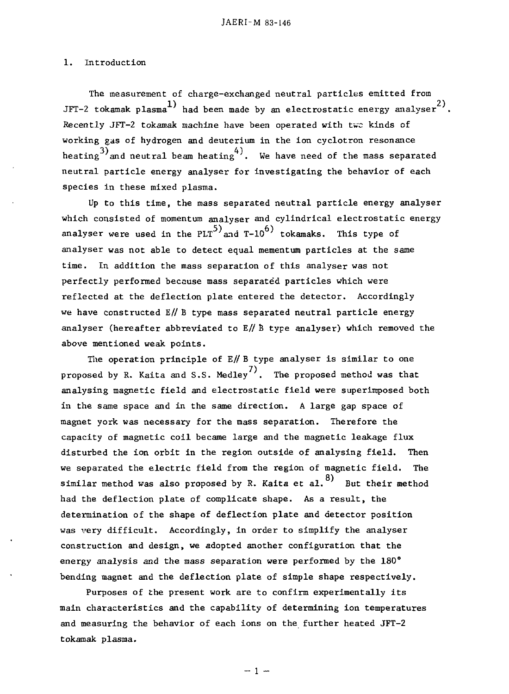#### 1. Introduction 1. Introduction

The measurement of charge-exchanged neutral particles emitted from The measurement of charge-exchanged neutra1 partic1es emitted from JFT-2 tokamak plasma $^{1)}$  had been made by an electrostatic energy analyser $^{2)}$ . Recently JFT-2 tokamak machine have been operated with two kinds of working gas of hydrogen and deuterium in the ion cyclotron resonance heating 3) and neutral beam heating  $4$  . We have need of the mass separated 3) 4) neutra1 partic1e energy ana1yser for investigating the behavior of each heating and neutral beam heating . We have need of the mass separated species in these mixed p1asma.

.<br>Up to this time, the mass separated neutral particle energy analyser which consisted of momentum analyser and cylindrical electrostatic energy analyser were used in the PLT<sup>5</sup>)<sub>and</sub> T-10<sup>6</sup>) tokamaks. This type of . .<br>analyser was not able to detect equal mementum particles at the same analyser were used in the PLT and T-10 tokamaks. The PLT and T-10 to the PLT and T-10 to the PLT and T-10 to the PLT time. In addition the mass separation of this analyser was not perfectly performed because mass separated particles which were reflected at the deflection plate entered the detector. Accordingly we have constructed E// B type mass separated neutral particle energy analyser (hereafter abbreviated to E// B type analyser) which removed the above mentioned weak points.

The operation principle of  $E//B$  type analyser is similar to one proposed by R. Kaita and S.S. Medley $^{7)}$ . The proposed method was that analysing magnetic field and electrostatic field were superimposed both in the same space and in the same direction. A large gap space of magnet york was necessary for the mass separation. Therefore the capacity of magnetic coil became large and the magnetic leakage flux disturbed the ion orbit in the region outside of analysing field. Then we separated the electric field from the region of magnetic field. The similar method was also proposed by R. Kaita et al. $^{8)}\;$  But their method had the deflection plate of complicate shape. As a result, the determination of the shape of deflection plate and detector position was very difficult. Accordingly, in order to simplify the analyser construction and design, we adopted another configuration that the energy analysis and the mass separation were performed by the 180° bending magnet and the deflection plate of simple shape respectively.

Purposes of the present work are to confirm experimentally its main characteristics and the capability of determining ion temperatures and measuring the behavior of each ions on the further heated JFT-2 tokamak plasma.  $\blacksquare$ 

 $-1 -$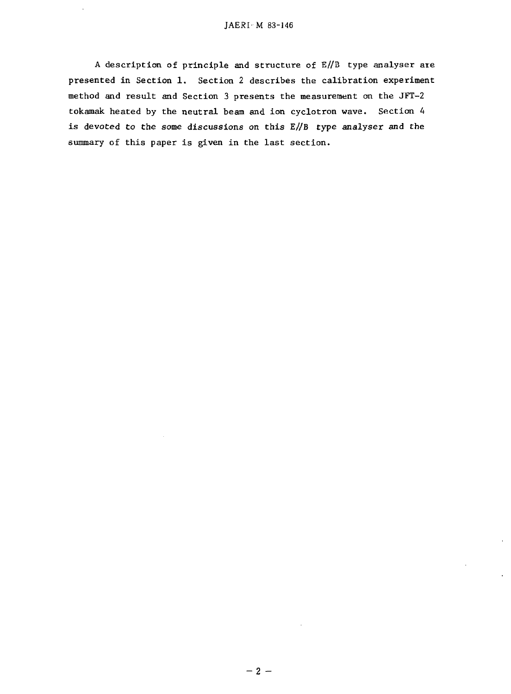A description of principle and structure of  $E/ \sqrt{B}$  type analyser are presented in Section 1. Section 2 describes the calibration experiment presented in Section 1. Section 2 describes the ca1ibration experiment method and result and Section 3 presents the measurement on the JFT-2 tokamak heated by the neutral beam and ion cyclotron wave. Section 4 is devoted to the some discussions on this E//B type analyser and the summary of this paper is given in the last section.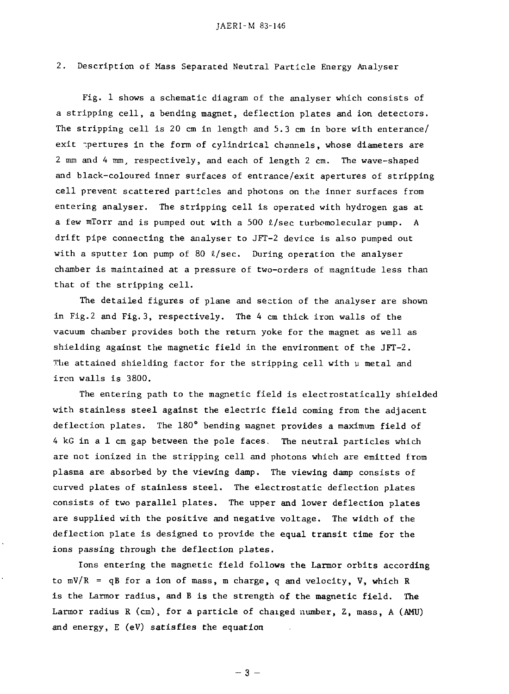#### 2. Description of Mass Separated Neutral Particle Energy Analyser 2. Description of Mass Separated Neutra1 Partic1e Energy Ana1yser

Fig. 1 shows a schematic diagram of the analyser which consists of Fig. 1 shows a schematic diagram of the ana1yser which consists of a stripping cell, a bending magnet, deflection plates and ion detectors. a stripping ce11, a bending magnet, def1ection p1ates and ion detectors. The stripping cell is 20 cm in length and 5.3 cm in bore with enterance/ The stripping cell is 20 cm in 1ength and 5.3 cm in bore with enterance/ exit pertures in the form of cylindrical channels, whose diameters are 2 mm and 4 mm, respectively, and each of length 2 cm. The wave-shaped 2 mm and 4 mm, respective1y, and each of 1ength 2 cm. The wave-shaped and black-coloured inner surfaces of entrance/exit apertures of stripping and b1ack-co10ured inner surfaces of entrance/exit apertures of stripping cell prevent scattered particles and photons on the inner surfaces from ce11 prevent scattered partic1es and photons on the inner surfaces from entering analyser. The stripping cell is operated with hydrogen gas at a few mTorr and is pumped out with a 500  $\ell$ /sec turbomolecular pump. A drift pipe connecting the analyser to JFT-2 device is also pumped out drift pipe connecting the ana1yser to JFT-2 device is a150 pumped out with a sputter ion pump of 80  $\ell$ /sec. During operation the analyser chamber is maintained at a pressure of two-orders of magnitude less than chamber is maintained at a pressure of two-orders of magnitude 1ess than that of the stripping cell. that of the stripping ce11.

The detailed figures of plane and section of the analyser are shown in Fig.2 and Fig.3, respectively. The 4 cm thick iron walls of the in Fig.2 and Fig.3, respective1y. The 4 cm thick iron wa11s of the vacuum chamber provides both the return yoke for the magnet as well as vacuum chamber provides both the return yoke for the magnet as we11 as shielding against the magnetic field in the environment of the JFT-2. shie1ding against the magnetic fie1d in the environment of the JFT-2. The attained shielding factor for the stripping cell with u metal and The attained shie1ding factor for the stripping ce11 with meta1 and iron walls is 3800. iron wa11s is 3800.

The entering path to the magnetic field is electrostatically shielded The entering path to the magnetic fie1d is e1ectrostatica11y shie1ded with stainless steel against the electric field coming from the adjacent with stain1ess stee1 against the e1ectric fie1d coming from the adjacent deflection plates. The  $180^\circ$  bending magnet provides a maximum field of 4 kG in a 1 cm gap between the pole faces, The neutral particles which 4 kG in a 1 cm gap between the po1e faces. The neutra1 partic1es which are not ionized in the stripping cell and photons which are emitted from are not ionized in the stripping ce11 and photons which are emitted from plasma are absorbed by the viewing damp. The viewing damp consists of p1asma are absorbed by the viewing damp. The viewing damp consists of curved plates of stainless steel. The electrostatic deflection plates curved p1ates of stain1ess stee1. The e1ectrostatic def1ection p1ates consists of two parallel plates. The upper and lower deflection plates consists of two para11e1 p1ates. The upper and 10wer def1ection p1ates are supplied with the positive and negative voltage. The width of the are supp1ied with the positive dnegative vo1tage. The width of the deflection plate is designed to provide the equal transit time for the ions passing through the deflection plates.

Ions entering the magnetic field follows the Larmor orbits according Ions entering the magnetic fie1d fo110W8 the Larmor orbits according to mV/R = qB for a ion of mass, m charge, q and velocity, V, which R is the Larmor radius, and B is the strength of the magnetic field. The is the Larmor radius, and B is the strength of the magnetic fie1d. The Larmor radius R (cm), for a particle of chaiged number, Z, mass, A (AMU) and energy, E (eV) satisfies the equation and energy, E (eV) satisfies the equation

 $-3$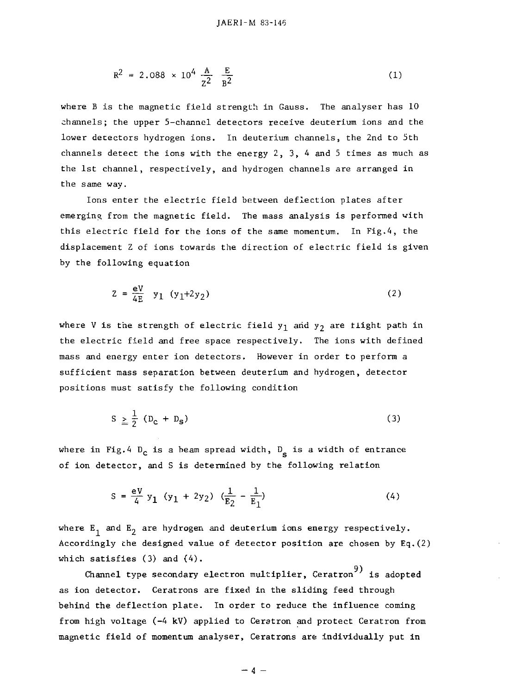$$
R^2 = 2.088 \times 10^4 \frac{A}{Z^2} \frac{E}{B^2}
$$
 (1)

where B is the magnetic field strength in Gauss. The analyser has 10 where B is the magnetic fie1d strengt!l in Gauss. The ana1yser has 10 channels; the upper 5-channel detectors receive deuterium ions and the lower detectors hydrogen ions. In deuterium channels, the 2nd to 5th 10wer decectors hydrogen ions. 1n deuterium channe1s, the 2nd to 5th channels detect the ions with the energy  $2$ ,  $3$ ,  $4$  and  $5$  times as much as the 1st channel, respectively, and hydrogen channels are arranged in the 1st channe1, respective1y, and hydrogen channe1s are arranged in the same way. the same way.

Ions enter the electric field between deflection plates after 10ns enter the e1ectric fie1d bctween deflection p1ates after emerging from the magnetic field. The mass analysis is performed with this electric field for the ions of the same momentum. In Fig.4, the this e1ectric fie1d for the ions of the same momentum. 1n Fig.4, the displacement Z of ions towards the direction of electric field is given disp1acement Z of ions towrds the direction of e1ectric fie1d is given by the following equation by the fo110wing equation

$$
Z = \frac{eV}{4E} \quad y_1 \ (y_1 + 2y_2) \tag{2}
$$

where V is the strength of electric field  $y_1$  and  $y_2$  are <code>tiight</code> path in the electric field and free space respectively. The ions with defined the e1ectric fie1d and free space respective1y. The ions with defined mass and energy enter ion detectors. However in order to perform a mass and energy enter ion detectors. However in order to perform a sufficient mass separation between deuterium and hydrogen, detector sufficient mass separation between deuterium and hydrogen, detector positions must satisfy the following condition positions must satisfy the fo110wing condition

$$
S \geq \frac{1}{2} (D_c + D_S) \tag{3}
$$

where in Fig.4  $D_c$  is a beam spread width,  $D_c$  is a width of entrance of ion detector, and S is determined by the following relation of ion detector, and S is determined by the fo110wing re1ation

$$
S = \frac{eV}{4} y_1 (y_1 + 2y_2) (\frac{1}{E_2} - \frac{1}{E_1})
$$
 (4)

where  $\mathtt{E}_1$  and  $\mathtt{E}_2$  are hydrogen and deuterium ions energy respectively. Accordingly the designed value of detector position are chosen by Eq.(2) According1y the designed va1ue of detector position are chosen by Eq.(2) which satisfies  $(3)$  and  $(4)$ .

opponel type secondary electron multiplier, Ceratron standary electron and tiplier, Ceratron standary electron as ion detector. Ceratrons are fixed in the sliding feed through as ion detector. Ceratrons are fixed in the sliding feed through behind the deflection plate. In order to reduce the influence coming behind the def1ection p1ate. 1n order to reuuce the inf1uence coming from high voltage (-4 kV) applied to Ceratron and protect Ceratron from from high vo1tage (-4 kV) app1ied to Ceratron and protect Ceratron from magnetic field of momentum analyser, Ceratrons are individually put in magnetic fie1d of momentum ana1yser, Ceratrons are individual1y put in

 $-4 -$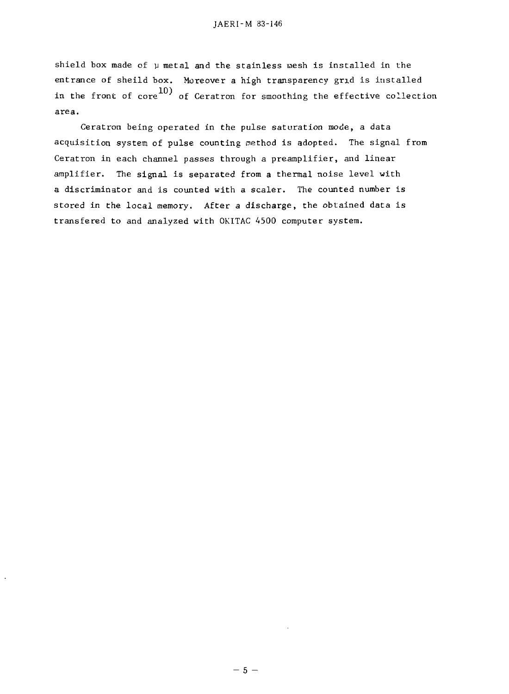shield box made of  $\upmu$  metal and the stainless  $\text{uesh}$  is installed in the entrance of sheild box. Moreover a high transparency grid is installed in the front of  $_{\rm core}^{10)}$  of Ceratron for smoothing the effective collection area. area.

Ceratron being operated in the pulse saturation mode, a data Ceratron being operated in the pu1se saturation mode, a data acquisition system of pulse counting method is adopted. The signal from Ceratron in each channel passes through a preamplifier, and linear amplifier. The signal is separated from a thermal noise level with a discriminator and is counted with a sealer. The counted number is a discriminator and is counted with a sca1er. The counted number is stored in the local memory. After a discharge, the obtained data is stored in the 1oca1 memory. After a discharge, the obtained data is transfered to and analyzed with OKITAC 4500 computer system. transfered to and analyzed with OKITAC 4500 computer system.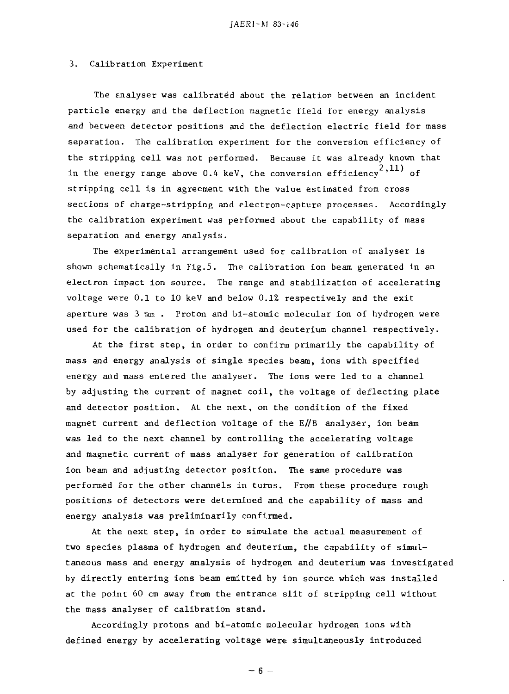#### 3. Calibration Experiment 3. Ca1ibrat10n Experiment

The enalyser was calibrated about the relation between an incident The Ena1yser was ca1ibrated about the re1atiop between an incident particle energy and the deflection magnetic field for energy analysis and between detector positions and the deflection electric field for mass and between detector positions and the def1ection e1ectric fie1d for mass separation. The calibration experiment for the conversion efficiency of separation. The ca1ibration experiment for the conversion efficiency of the stripping cell was not performed. Because it was already known that the stripping ce11 was not perfo ned. Because it was a1ready known that in the energy range above 0.4 keV, the conversion efficiency  $^2$ ,11) of stripping cell is in agreement with the value estimated from cross stripping ce1l is in agreement with the va1ue estimated from cross sections of charge-stripping and electron-capture processes. Accordingly the calibration experiment was performed about the capability of mass the ca1ibration experiment was perfonned about the capability of mass separation and energy analysis. separation and energy ana1ysis.

The experimental arrangement used for calibration of analyser is shown schematically in Fig.5. The calibration ion beam generated in an electron impact ion source. The range and stabilization of accelerating voltage were 0.1 to 10 keV and below 0.1% respectively and the exit vo1tage were 0.1 to 10 keV and be10w 0.1% respective1y and the exit aperture was 3 mm . Proton and bi-atomic molecular ion of hydrogen were aperture was 3 mm. Proton and b1-atomic mo1ecu1ar ion of hydrogen were used for the calibration of hydrogen and deuterium channel respectively. used for the ca1ibration of hydrogen and deuterium channe1 respective1y.

At the first step, in order to confirm primarily the capability of At the first step, in order to confirm primarily the capabi1ity of mass and energy analysis of single species beam, ions with specified mass and energy analysis of sing1e species beam, ions with specified energy and mass entered the analyser. The ions were led to a channel energy and mass entered the ana1yser. The ions were 1ed to a channe1 by adjusting the current of magnet coil, the voltage of deflecting plate by adjusting the current of magnet coi1, the vo1tage of def1ecting p1ate and detector position. At the next, on the condition of the fixed and detector position. At the next, on the condition of the fixed magnet current and deflection voltage of the E//B analyser, ion beam magnet current and def1ection vo1 tage of the E//B ana1yser, ion beam was led to the next channel by controlling the accelerating voltage was 1ed to the next channe1 by contro11ing the accelerating vo1tage and magnetic current of mass analyser for generation of calibration ion beam and adjusting detector position. The same procedure was ion beam and adjusting detector position. The same procedure was performed for the other channels in turns. From these procedure rough performed for the other channe1s in turns. From these procedure rough positions of detectors were determined and the capability of mass and energy analysis was preliminarily confirmed. energy analysis was preliminarily confirmed.

At the next step, in order to simulate the actual measurement of two species plasma of hydrogen and deuterium, the capability of simultaneous mass and energy analysis of hydrogen and deuterium was investigated taneous mass and energy analysis of hydrogen and deuterium was investigated by directly entering ions beam emitted by ion source which was installed at the point 60 cm away from the entrance slit of stripping cell without at the point 60 cm away from the entrance slit of stripping ce11 without the mass analyser of calibration stand. the mass ana1yser cf ca11bration stand.

Accordingly protons and bi-atomic molecular hydrogen ions with defined energy by accelerating voltage were simultaneously introduced defined energy by accelerating vo1tage were simultaneously introduced

 $-6 -$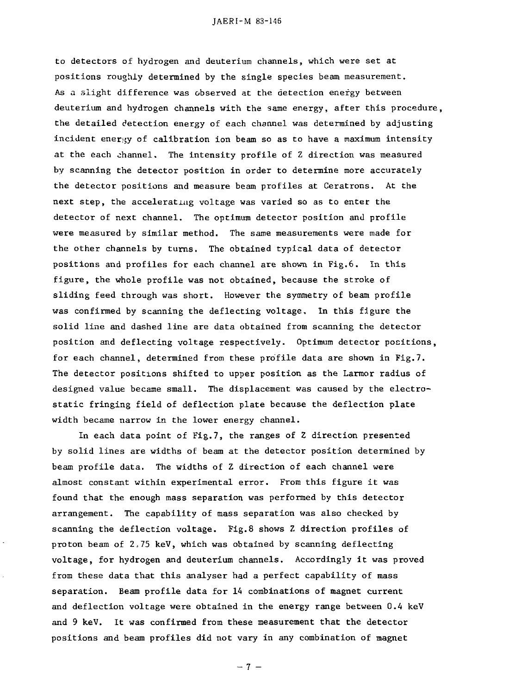to detectors of hydrogen and deuterium channels, which were set at positions roughly determined by the single species beam measurement. positions roughly determined by the sing1e species beam measurement. As a slight difference was observed at the detection energy between As a slight difference was ubserved at the aetection energy between deuterium and hydrogen channels with the same energy, after this procedure, deuterium and hydrogen channe1s with the ameenergy, after this procedure, the detailed detection energy of each channel was determined by adjusting the detai1ed detection energy of each channe1 was determined by adjusting incident energy of calibration ion beam so as to have a maximum intensity at the each channel. The intensity profile of Z direction was measured by scanning the detector position in order to determine more accurately by scanning the detector position in order to deterlinemore accurate1y the detector positions and measure beam profiles at Ceratrons. At the the detector positions and measure beam profi1es at Ceratrons. At the next step, the accelerating voltage was varied so as to enter the detector of next channel. The optimum detector position and profile detector of next channe1. The optimum detector position anu profi1e were measured by similar method. The same measurements were made for were measured by simi1ar method. The same measurements were made for the other channels by turns. The obtained typical data of detector the other channe1s by turns. The obtained typica1 data of detector positions and profiles for each channel are shown in Fig.6. In this figure, the whole profile was not obtained, because the stroke of figure, the who1e profi1e was not obtained. because the stroke of sliding feed through was short. However the symmetry of beam profile was confirmed by scanning the deflecting voltage. In this figure the was confirmed by scanning the def1ecting vo1tage. In this figure the solid line and dashed line are data obtained from scanning the detector solid 1ine and dashed 1ine are data obtained from scanning the detector position and deflecting voltage respectively. Optimum detector positions, position and def1ecting vo1tage respective1y. Optimum detector pocitions, for each channel, determined from these profile data are shown in Fig.7. for each channe1, determined from these profi1e data are shown in Fig.7. The detector positions shifted to upper position as the Larmor radius of The detector positions shifted to upper position as the Larmor radius of designed value became small. The displacement was caused by the electro¬ designed va1ue became sma11. The disp1acement was caused by the e1ectrostatic fringing field of deflection plate because the deflection plate static fringing fie1d of def1ection p1ate because the def1ection p1ate width became narrow in the lower energy channel. width became narrow in the 10wer energy channe1.

In each data point of Fig.7, the ranges of Z direction presented In each data point of Fig.7, the ranges of Z direction presented by solid lines are widths of beam at the detector position determined by by solid 1ines are widths of beam at the detector position determined by beam profile data. The widths of Z direction of each channel were beam profi1e data. The widths of Z direction of each channe1 were almost constant within experimental error. From this figure it was almost constant within experimental error. From this figure it was found that the enough mass separation was performed by this detector found that the enough mass separation was performed by this detector arrangement. The capability of mass separation was also checked by scanning the deflection voltage. Fig.8 shows Z direction profiles of proton beam of 2,75 keV, which was obtained by scanning deflecting proton beam of 2 75 keV, which was obtained by scanning deflecting voltage, for hydrogen and deuterium channels. Accordingly it was proved vo1tage, for hydrogen and deuterium channe1s. According1y it was proved from these data that this analyser had a perfect capability of mass separation. Beam profile data for 14 combinations of magnet current separation. Beam profi1e data for 14 combinations of magnet current and deflection voltage were obtained in the energy range between 0.4 keV and defl and 9 keV. It was confirmed from these measurement that the detector positions and beam profiles did not vary in any combination of magnet

 $-7 -$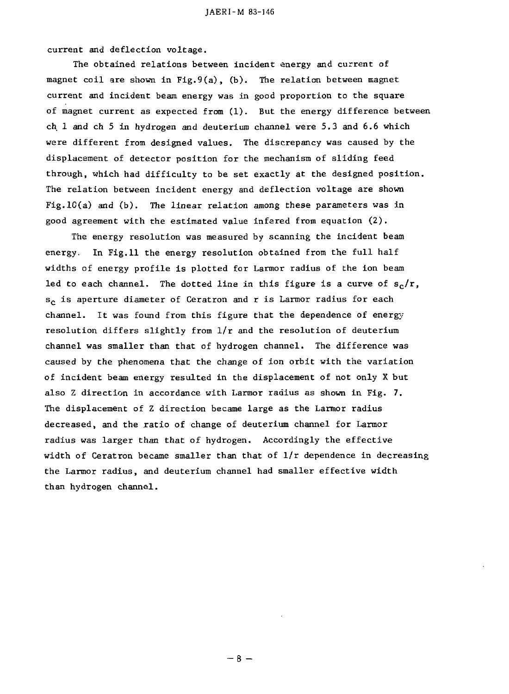current and deflection voltage. current and def1ection voltage.

The obtained relations between incident energy and current of The obtained re1ations between incident energy and current of magnet coil are shown in Fig.9(a), (b). The relation between magnet magnet coi1 are shown in Fig.9(a). (b). The re1ation between magnet current and incident beam energy was in good proportion to the square current and incident bearn energy was in good proportion to the square of magnet current as expected from (1). But the energy difference between ch 1 and ch 5 in hydrogen and deuterium channel were 5.3 and 6.6 which were different from designed values. The discrepancy was caused by the were different from designed va1ues. The discrepancy was caused by the displacament of detector position for the mechanism of sliding feed disp1acement of detector position for the mechanism of sliding feed through, which had difficulty to be set exactly at the designed position. through. which had difficu1ty to be set exact1y at the designed position. The relation between incident energy and deflection voltage are shown The re1ation between incident energy and def1ection vo1tage are shown Fig.1C(a) and (b). The linear relation among these parameters was in good agreement with the estimated value infered from equation (2). good agreement with the estimated va1ue infered from equation (2).

The energy resolution was measured by scanning the incident beam The energy reso1ution was measured by scanning the incident beam energy. In Fig.11 the energy resolution obtained from the full half energy. 1n Fig.11 the energy reso1ution obtained from the fu11 ha1f widths of energy profile is plotted for Larmor radius of the ion beam widths of energy profi1e is p10tted for Larmor radiu5 of the ion beam led to each channel. The dotted line in this figure is a curve of  $\rm s_c/r$ , s<sub>c</sub> is aperture diameter of Ceratron and r is Larmor radius for each channel. It was found from this figure that the dependence of energy resolution differs slightly from 1/r and the resolution of deuterium reso1ution differs slight1y from l/r and the reso1ution of deuterium channel was smaller than that of hydrogen channel. The difference was channe1 was sma11er than that of hydrogen channe1. The difference was caused by the phenomena that the change of ion orbit with the variation caused by the phenomena that the change of ion orbit with the variation of incident beam energy resulted in the displacement of not only X but also Z direction in accordance with Larmor radius as shown in Fig. 7. The displacement of Z direction became large as the Larmor radius The disp1acement of Z direction became 1arge as the Larmor radius decreased, and the ratio of change of deuterium channel for Larmor radius was larger than that of hydrogen. Accordingly the effective radius was 1arger than that of hydrogen. According1y the effective width of Ceratron became smaller than that of  $1/r$  dependence in decreasing the Larmor radius, and deuterium channel had smaller effective width the Larmor radius. and deuterium channe1 had sma11er effective width than hydrogen channel. than hydrogen channe1.

 $-8-$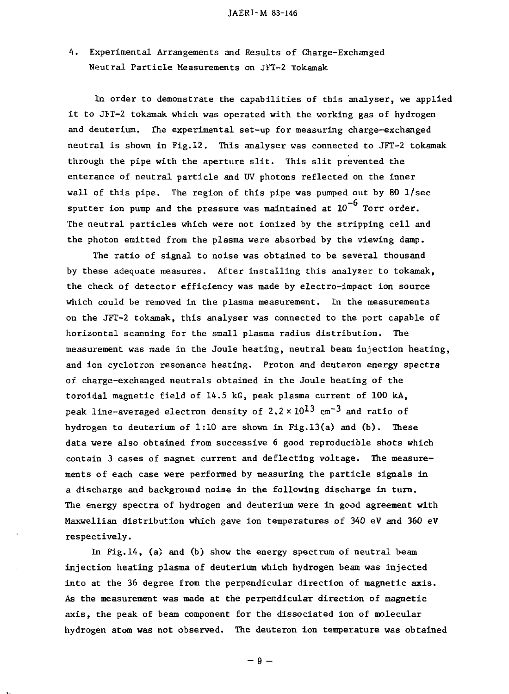4. Experimental Arrangements and Results of Charge-Exchanged 4. Experimental Arrangements and Results of Charge-Exchanged Neutral Particle Measurements on JFT-2 Tokamak Neutra1 Partic1e Measurements on JFT-2 Tokamak

In order to demonstrate the capabilities of this analyser, we applied it to JFT-2 tokamak which was operated with the working gas of hydrogen and deuterium. The experimental set-up for measuring charge-exchanged neutral is shown in Fig.12. This analyser was connected to JFT-2 tokamak neutra1 is shown in Fig.12. This ana1yser was connected to JFT-2 tokamak through the pipe with the aperture slit. This slit prevented the through the pipe with the aperture slit. This slit prevented the enterance of neutral particle and UV photons reflected on the inner enterance of neutra1 partic1e and UV photons ref1ected on the inner wall of this pipe. The region of this pipe was pumped out by 80 1/sec wa11 of this pipe. The region of this pipe was pumped out by 80 l/sec sputter ion pump and the pressure was maintained at  $10^{-9}$  Torr order. The neutral particles which were not ionized by the stripping cell and The neutra1 partic1es which were not ionized by the stripping ce11 and the photon emitted from the plasma were absorbed by the viewing damp.

The ratio of signal to noise was obtained to be several thousand The ratio of signa1 to noise was obtained to be severa1 thousand by these adequate measures. After installing this analyzer to tokamak, by these adequate measures. After insta11ing this ana1yzer to tokamak. the check of detector efficiency was made by electro-impact ion source the check of detector efficiency was made by e1ectro-impact ion source which could be removed in the plasma measurement. In the measurements which cou1d be removed in the p1asma measurement. In the measurements on the JFT-2 tokamak, this analyser was connected to the port capable of horizontal scanning for the small plasma radius distribution. The horizonta1 scanning for the smal1 p1asma radius distribution. The measurement was made in the Joule heating, neutral beam injection heating, measurement was made in the Jou1e heating. neutra1 beam injection heating. and ion cyclotron resonance heating. Proton and deuteron energy spectra of charge-exchanged neutrals obtained in the Joule heating of the toroidal magnetic field of 14.5 kG, peak plasma current of 100 kA, toroida1 magnetic fie1d of 14.5 kG. peak p1asma current of 100 kA. peak line-averaged electron density of 2.2  $\times\ 10^{13}$  cm $^{-3}$  and ratio of hydrogen to deuterium of  $1:10$  are shown in Fig.13(a) and (b). These data were also obtained from successive 6 good reproducible shots which contain 3 cases of magnet current and deflecting voltage. The measurements of each case were performed by measuring the particle signals in ments of each case were performed by measuring the partic1e signa1s in a discharge and background noise in the following discharge in turn. a discharge and background noise in the fol10wing discharge in turn. The energy spectra of hydrogen and deuterium were in good agreement with  $Maxwellian\ distribution\ which\ gave\ ion\ temperature\ of\ 340\ eV\ and\ 360\ eV$ respectively. respective1y.

In Fig.14, (a) and (b) show the energy spectrum of neutral beam injection heating plasma of deuterium which hydrogen beam was injected injection heating p1asma of deuterium which hydrogen be wasinjected into at the 36 degree from the perpendicular direction of magnetic axis. into at the 36 degree from the perpendicu1ar direction of magnetic axis. As the measurement was made at the perpendicular direction of magnetic As the measurement was made at the perpendicu1ar direction of magnetic axis, the peak of beam component for the dissociated ion of molecular axis. the peak of beam component for the dissociated ion of mo1ecular hydrogen atom was not observed. The deuteron ion temperature was obtained hydrogen atom was not observed. The deuteron ion temperature was obtained

 $-9-$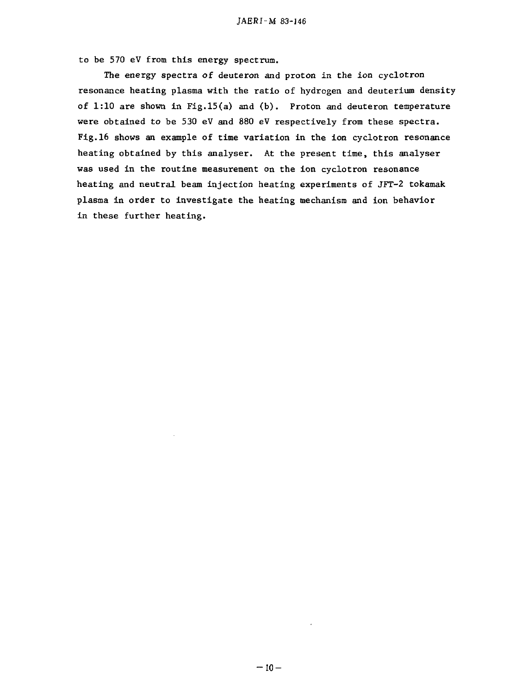to be 570 eV from this energy spectrum. to be 570 eV from this energy spectrum.

The energy spectra of deuteron and proton in the ion cyclotron The energy spectra of deuteron and proton in the ion cyc1otron resonance heating plasma with the ratio of hydrogen and deuterium density resonance heating p1asma with the ratio of hydrogen and deuterium density of 1:10 are shown in Fig.15(a) and (b). Proton and deuteron temperature were obtained to be 530 eV and 880 eV respectively from these spectra. were obtained to be 530 eV and 880 eV respective1y from these spectra. Fig.16 shows an example of time variation in the ion cyclotron resonance heating obtained by this analyser. At the present time, this analyser heating obtained by this ana1yser. At the present time, this ana1yser was used in the routine measurement on the ion cyclotron resonance was used in the routine measurement on the ion cyc1otron resonance heating and neutral beam injection heating experiments of JFT-2 tokamak heating and neutra1 beam injection heating experiments of JFT-2 tokamak plasma in order to investigate the heating mechanism and ion behavior p1asma in order to investigate the heating mechanism and ion behavior in these further heating. in these further heating.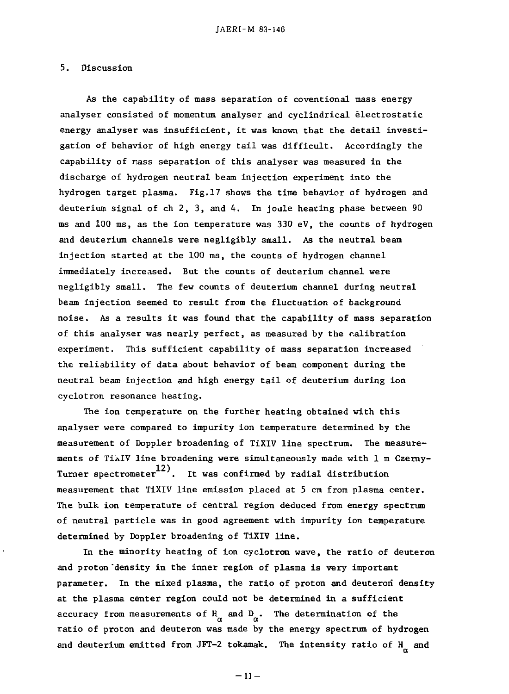#### 5. Discussion 5. Discussion

As the capability of mass separation of coventional mass energy As the capabi1ity of mass separation of coventional mass energy analyser consisted of momentum analyser and cyclindrical electrostatic ana1yser consisted of momentum ana1yser and cyc1indrica1 1ectrostatic energy analyser was insufficient, it was known that the detail investigation of behavior of high energy tail was difficult. Accordingly the gation of behavior of high energy tai1 was difficu1t. According1y the capability of nass separation of this analyser was measured in the capabi1ity of nass separation of this ana1yser was measured in the discharge of hydrogen neutral beam injection experiment into the discharge of hydrogen neutra1 beam injection experiment lnto the hydrogen target plasma. Fig.17 shows the time behavior of hydrogen and deuterium signal of ch 2, 3, and 4. In joule hearing phase between 90 ms and 100 ms, as the ion temperature was 330 eV, the counts of hydrogen ms and 100 ms, as the ion temperature was 330 eV, the counts of hydrogen and deuterium channels were negligibly small. As the neutral beam and deuterium channe1s were neg1igib1y sma11. As the neutra1 beam injection started at the 100 ms, the counts of hydrogen channel injection started at the 100 ms, the counts of hydrogen channe1 immediately increased. But the counts of deuterium channel were immediate1y increased. But the counts of deuterium channe1 were negligibly small. The few counts of deuterium channel during neutral neg1igib1y sma11. The few counts of deuterium channe1 during neutra1 beam injection seemed to result from the fluctuation of background beam injection seemed to resu1t from the f1uctuation of background noise. As a results it was found that the capability of mass separation noise. As a results it was found that the capabi1ity of mass separation of this analyser was nearly perfect, as measured by the calibration experiment. This sufficient capability of mass separation increased experiment. This sufficient capabi1ity of mass separation increased the reliability of data about behavior of beam component during the the re1iabi1ity of data about hehavior of beam component during the neutral beam injection and high energy tail of deuterium during ion cyclotron resonance heating. cyc1otron resonance heating.

The ion temperature on the further heating obtained with this The ion temperature on the further heating obtained with this analyser were compared to impurity ion temperature determined by the ana1yser were compared to impurity ion temperature deter inedby the measurement of Doppler broadening of TiXIV line spectrum. The measure¬ measurement of Dopp1er broadening of TiXIV 1ine spectrum. The measurements of TixIV line broadening were simultaneously made with 1 m Czerny-12) Turner spectrometer . It was confirmed by radial distribution 12) Turner spectrometer--'. It was confirmed by radia1 distribution measurement that TiXIV line emission placed at 5 cm from plasma center. measurement that TiXIV 1ine emission p1aced at 5 cm from p1asma center. The bulk ion temperature of central region deduced from energy spectrum The bulk ion temperature of central region deduced from energy spectrum of neutral particle was in good agreement with impurity ion temperature of neutra1 partic1e was in good agreement with impurity ion temperature determined by Doppler broadening of TiXIV line.

In the minority heating of ion cyclotron wave, the ratio of deuteron In the minority heating of ion cyc1otron wave, the ratio of deuteron and proton "density in the inner region of plasma is very important and proton "density in the inner region of p1asma is very important parameter. In the mixed plasma, the ratio of proton and deuteron density at the plasma center region could not be determined in a sufficient accuracy from measurements of  $H_\alpha$  and  $D_\alpha$ . The determination of the ratio of proton and deuteron was made by the energy spectrum of hydrogen and deuterium emitted from JFT-2 tokamak. The intensity ratio of H\_ and

and deuterium emitted from JFT-2 tokamak. The intensity ratio of  $\mathcal{A}$  $-11-$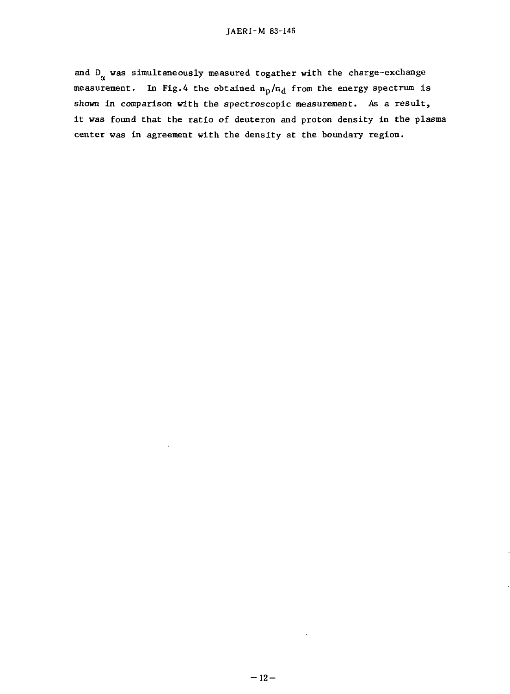and D<sub>o</sub> was simultaneously measured togather with the charge-exchange measurement. In Fig.4 the obtained  $n_p/n_d$  from the energy spectrum is shown in comparison with the spectroscopic measurement. As a result, it was found that the ratio of deuteron and proton density in the plasma center was in agreement with the density at the boundary region.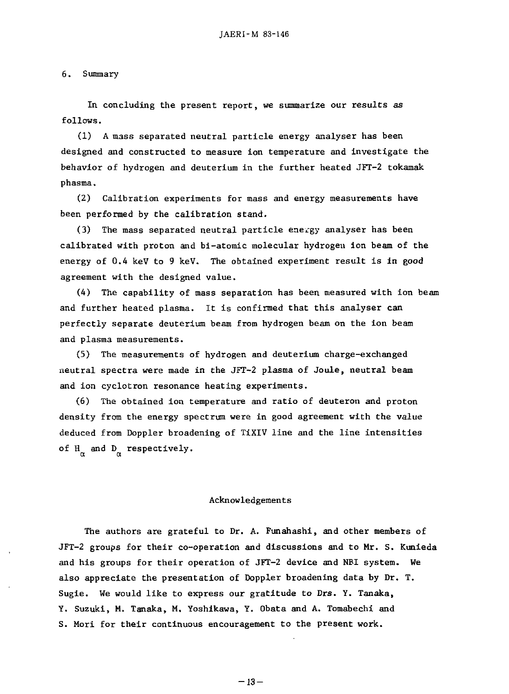6. Summary

In concluding the present report, we summarize our results as follows. follows.

(1) A mass separated neutral particle energy analyser has been (1) A mass separated neutra1 partic1e energy ana1yser has been designed and constructed to measure ion temperature and investigate the designed and constructed to measure ion temperature and investigate the behavior of hydrogen and deuterium in the further heated JFT-2 tokamak behavior of hydrogen and deuterium in the further heated JFT-2 tokaak phasma. phasma.

(2) Calibration experiments for mass and energy measurements have (2) Ca1ibration experiments for mass denergy measurements have been performed by the calibration stand. been performed by the ca1ibration 5tand.

(3) The mass separated neutral particle energy analyser has been calibrated with proton and bi-atomic molecular hydrogen ion beam of the energy of  $0.4$  keV to 9 keV. The obtained experiment result is in good agreement with the designed value. agreement with the designed value.

(4) The capability of mass separation has been measured with ion beam (4) The capability of mass separation has been measured with ion beam and further heated plasma. It is confirmed that this analyser can and further heated p1asma. It is confiredthat this ana1yser can perfectly separate deuterium beam from hydrogen beam on the ion beam perfect1y separate deuterium beam from hydrogen beam on the ion beam and plasma measurements. and p1asma measurements.

(5) The measurements of hydrogen and deuterium charge-exchanged neutral spectra were made in the JFT-2 plasma of Joule, neutral beam and ion cyclotron resonance heating experiments. and ion cyclotron resonance heating experiments.

(6) The obtained ion temperature and ratio of deuteron and proton density from the energy spectrum were in good agreement with the value deduced from Doppler broadening of TiXIV line and the line intensities of H and D respectively.

#### Acknowledgement s Acknowledgements

The authors are grateful to Dr. A. Funahashi, and other members of JFT-2 groups for their co-operation and discussions and to Mr. S. Kunieda JFT-2 groups for their co-operation and discussions and to Mr. S. Kunieda and his groups for their operation of JFT-2 device and NBI system. We also appreciate the presentation of Doppler broadening data by Dr. T. a1so appreciate the presentation of Dopperbroadening data by Dr. T. Sugie. We would like to express our gratitude to Drs. Y. Tanaka, Sugie. We wou1d 1ike to express our gratitude to Drs. Y. Tanaka, Y. Suzuki, M. Tanaka, M. Yoshikawa, Y. Obata and A. Tomabechi and Y. Suzuki, M. Tanaka, M. Yoshikawa, Y. Obata and A. Tomabechi and S. Mori for their continuous encouragement to the present work. S. Mori for their continuous encouragement to the present work.

 $-13-$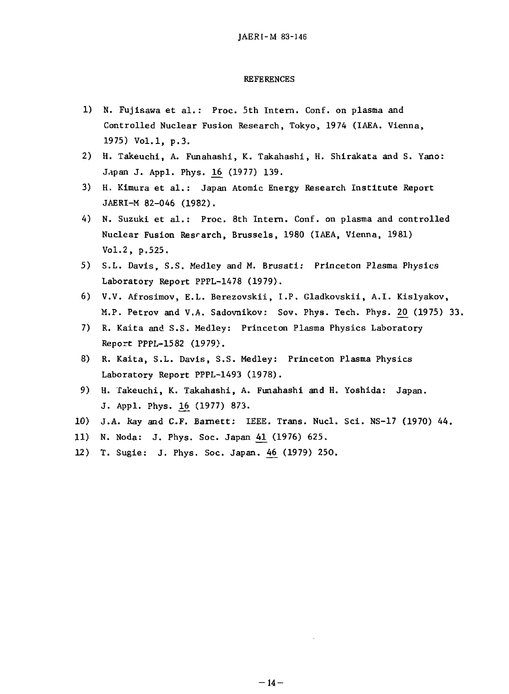#### REFERENCES REFERENCES

- 1) N. Fujisawa et al.: Proc. 5th Intern. Conf. on plasma and Controlled Nuclear Fusion Research, Tokyo, 1974 (IAEA. Vienna, Contro11ed Nuc1ear Fusion Research, Tokyo, 1974 (IAEA. Vienna, 1975) Vol.1, p.3.
- 2) H. Takeuchi, A. Funahashi, K. Takahashi, H. Shirakata and S. Yano: J.pan J. Appl. Phys. 16 (1977) 139.
- 3) H. Kimura et al.: Japan Atomic Energy Research Institute Report JAERI-M 82-046 (1982). JAERI-M 82-046 (1982).
- 4) N. Suzuki et al.: Proc. 8th Intern. Conf. on plasma and controlled Nuclear Fusion Res $\epsilon$ arch, Brussels, 1980 (IAEA, Vienna, 1981) Vol.2, p.525. Vo1.2, p.525.
- 5) S.L. Davis, S.S. Medley and M. Brusati: Princeton Plasma Physics 5) S.L. Davis, S.S. Med1ey and M. Brusatl: Princeton Plasma Physics Laboratory Report PPPL-1478 (1979). Laboratory Report PPPL-1478 (1979).
- 6) V.V. Afrosimov, E.L. Berezovskii, I.P . Gladkovskii, A.I. Kislyakov, 6) V.V. Afrosimov, E.L. Berezovskii, I.P. G1adkovskii, A.I. Kis1yakov, M.P. Petrov and V.A. Sadovnikov: Sov. Phys. Tech. Phys. 20 (1975) 33.
- 7) R. Kaita and S.S. Medley: Princeton Plasma Physics Laboratory Report PPPL-1582 (1979). Report PPPL-1582 (1979}.
- 8) R. Kaita, S.L. Davis, S.S. Medley: Princeton Plasma Physics Laboratory Report PPPL-1493 (1978). Laboratory Report PPPL-1493 (1978).
- 9) H. Takeuchi, K. Takahashi, A. Funahashi and H. Yoshida: Japan. 9) H. Takeuchi, K. Takahashi, A. Funahashi and H. Yoshida: Japan. J. Appl. Phys. 16 (1977) 873.
- 10) J.A. Ray and C.F. Bamett : IEEE. Trans. Nucl. Sci. NS-17 (1970) 44. 10) J.A. Ray d C.F. Barnett: IEEE. Trans. Nuc1. Sci. NS-17 (1970) 44.
- 11) N. Noda: J. Phys. Soc. Japan 41 (1976) 625.
- 12) T. Sugie: J. Phys. Soc. Japan. 46 (1979) 250.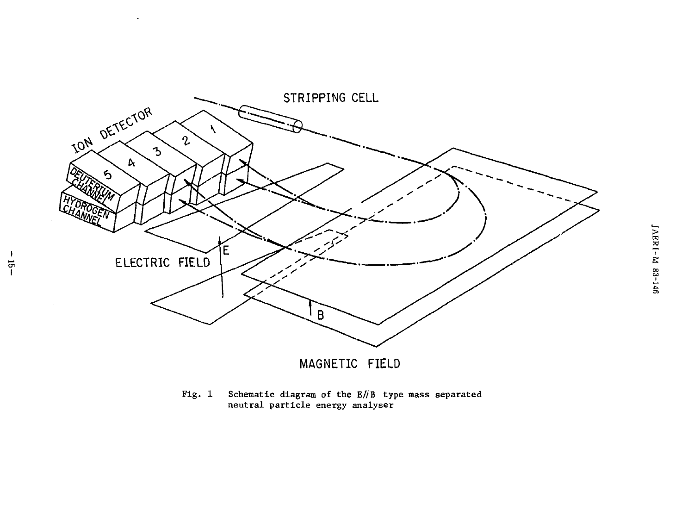

 $\mathbf{I}$ 

 $\frac{1}{7}$ 

Schematic diagram of the  $E/IB$  type mass separated neutral particle energy analyser  $Fig. 1$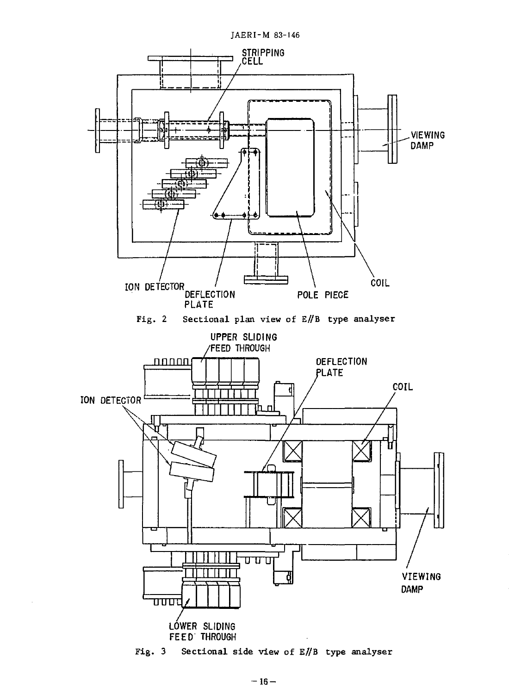

Fig.  $3$ Sectional side view of E//B type analyser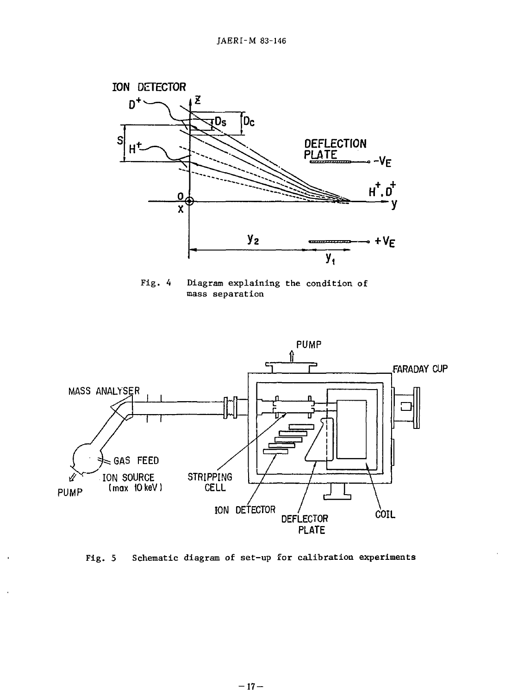

Fig. 4 Diagram explaining the condition of Fig. 4 Diagram explaining the condition of mass separation mass separation



Fig. 5 Schematic diagram of set-up for calibration experiments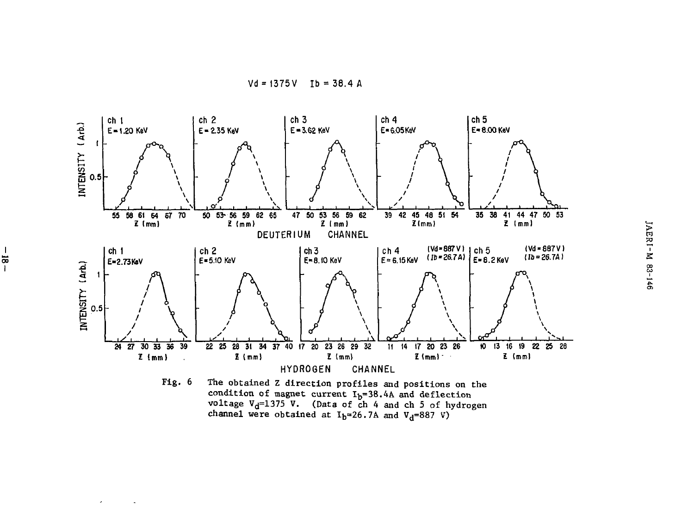

 $\frac{1}{2}$ 

 $\epsilon$ 

 $\tilde{\phantom{a}}$ 

condition of magnet current  $I_b=38.4A$  and deflection<br>voltage  $V_d=1375$  V. (Data of ch 4 and ch 5 of hydrogen<br>channel were obtained at  $I_b=26.7A$  and  $V_d=887$  V)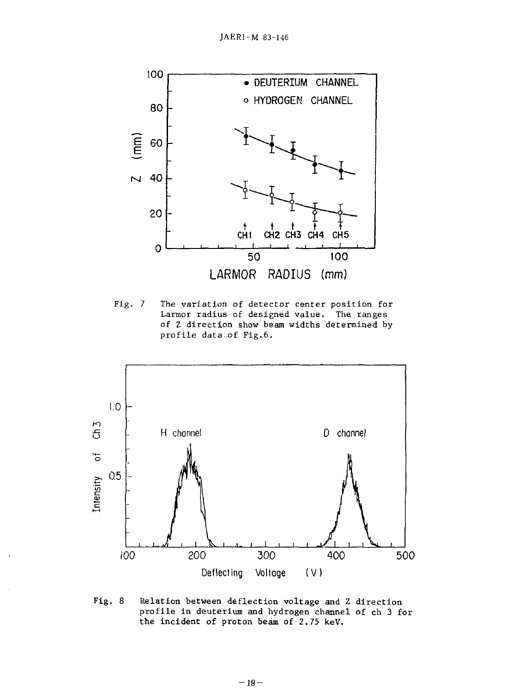

Fig. 7 The variation of detector center position for Fig. 7 The variation of detector center position for Larmor radius of designed value. The ranges of Z direction show beam widths determined by of Z direction show beam widths determined by profile data of Fig.6. profile data of Fig.6.



Fig. 8 Relation between deflection voltage and Z direction profile in deuterium and hydrogen channel of ch 3 for the incident of proton beam of 2.75 keV.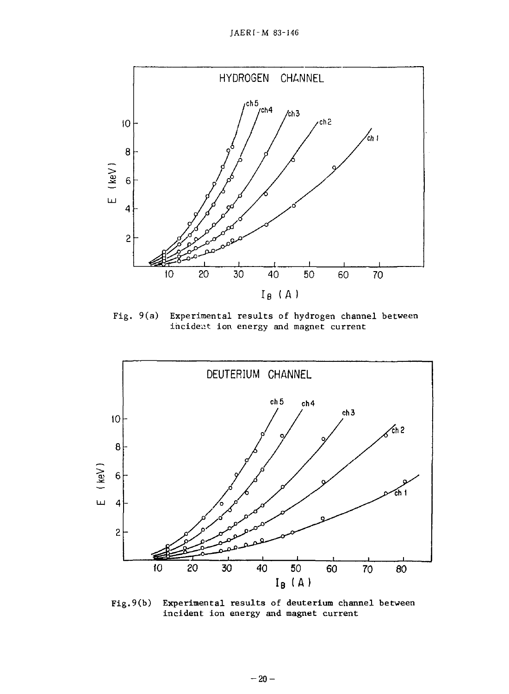JAERI-M 83-146 ]AERI-M 83-146



Fig. 9(a) Experimental results of hydrogen channel between Experimental results of hydrogen channel between incident ion energy and magnet current Fig.  $9(a)$ 



Fig.9(b) Experimental results of deuterium channel between incident ion energy and magnet current incident ion energy and magnet current  $Fig.9(b)$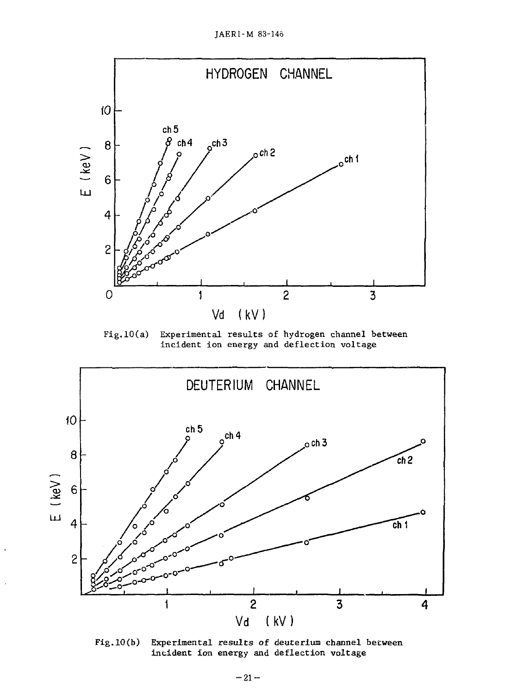JAERI-M 83-14ô



Fig.lO(a) Experimental results of hydrogen channel between Experimental results of hydrogen channel between incident ion energy and deflection voltage incident ion energy and deflection voltage  $Fig.10(a)$ 



Fig.10(b) Experimental results of deuterium channel between incident ion energy and deflection voltage Fig.lO(b)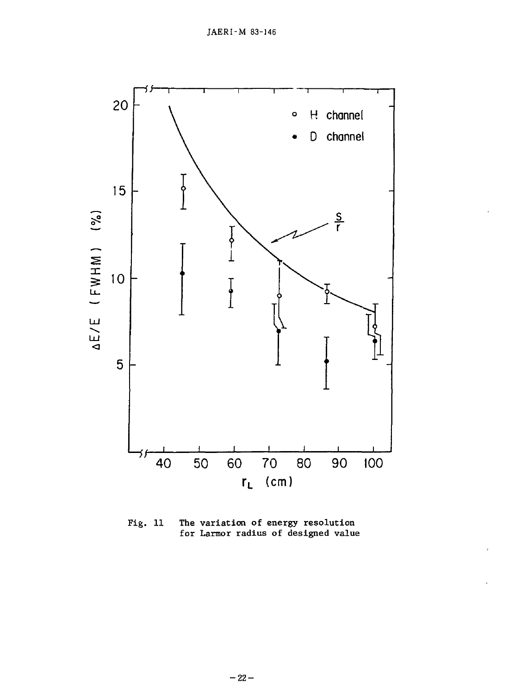

Fig. 11 The variation of energy resolution The variation of energy resolution for Larmor radius of designed value for Larmor radius of designed value Fig. 11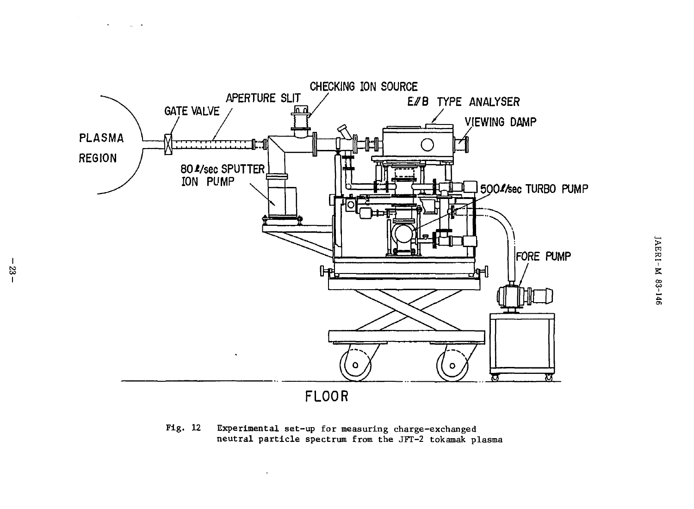

Fig. 12 Experimental set-up for measuring charge-exchanged Experimental set-up for measuring charge-exchanged neutral particle spectrum from the JFT-2 tokamak plasma neutral particle spectrum from the JFT-2 tokamak plasma Fig.  $12$ 

 $\mathbf{w}$  .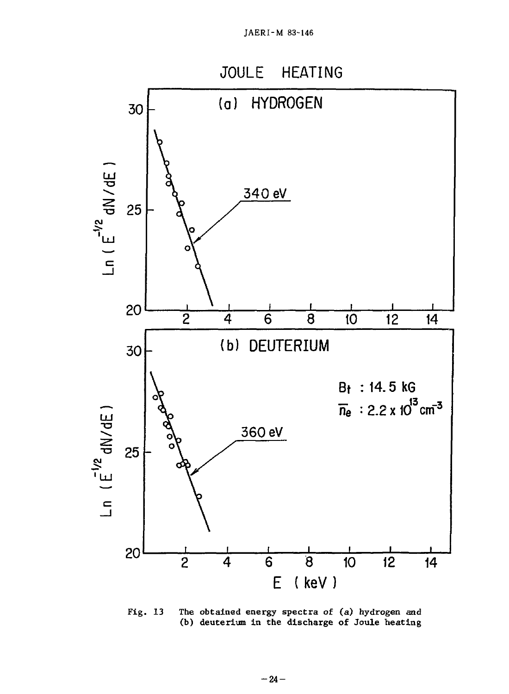

Fig. 13 The obtained energy spectra of (a) hydrogen and (b) deuterium in the discharge of Joule heating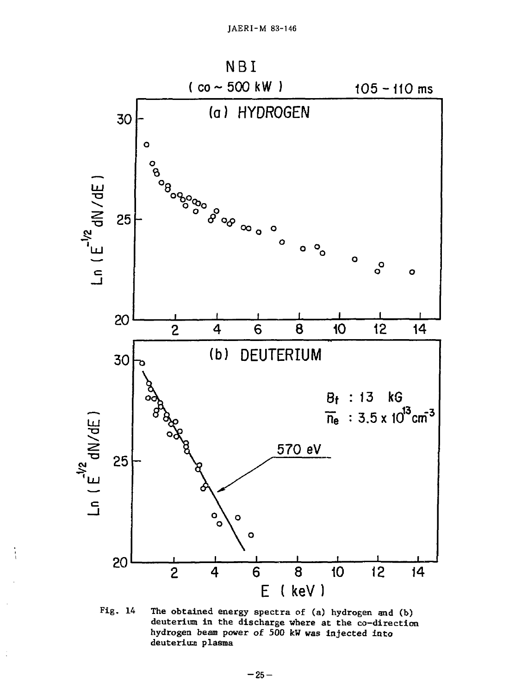

Fig. 14 The obtained energy spectra of (a) hydrogen and (b) deuterium in the discharge where at the co-direction hydrogen beam power of 500 kW was injected into deuterius plasma

 $\frac{1}{2}$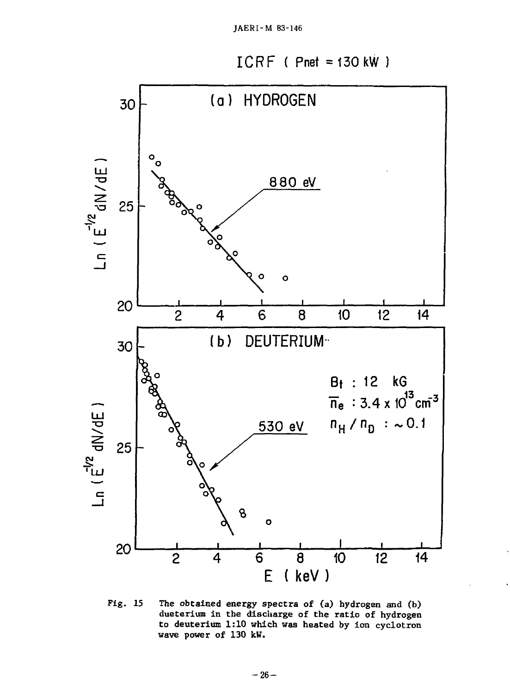



Fig. 15 The obtained energy spectra of (a) hydrogen and (b) dueterium in the discharge of the ratio of hydrogen to deuterium 1:10 which was heated by ion cyclotron wave power of 130 kW.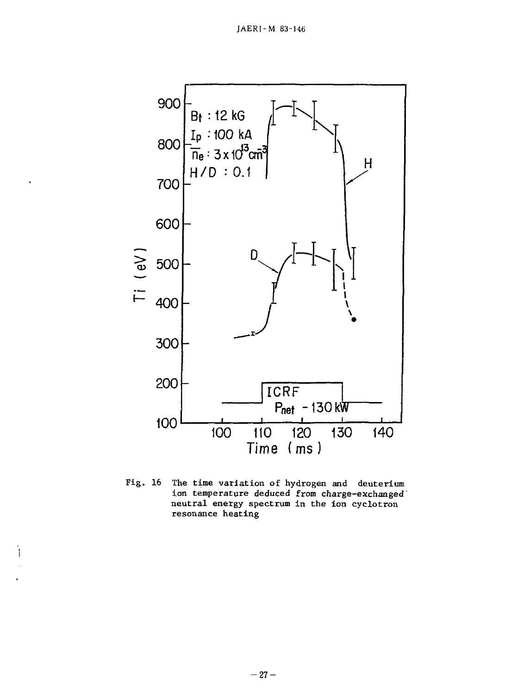

Fig. 16 The time variation of hydrogen and deuterium Fig. 16 The time variation of hydrogen and deuterium ion temperature deduced from charge-exchanged' neutral energy spectrum in the ion cyclotron neutra1 energy spectrum in the ion cyc1otron resonance heating resonance heating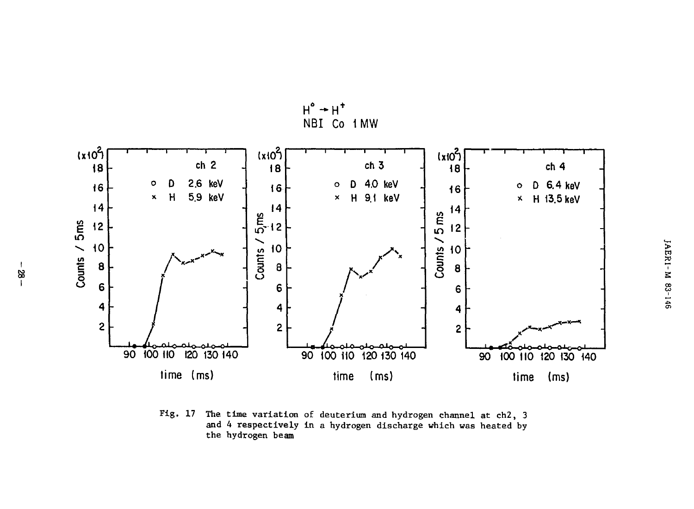

 $H^{\circ} \rightarrow H^{\dagger}$ 

Fig. 17 The time variation of deuterium and hydrogen channel at ch2, 3 and 4 respectively in a hydrogen discharge which was heated by the hydrogen beam